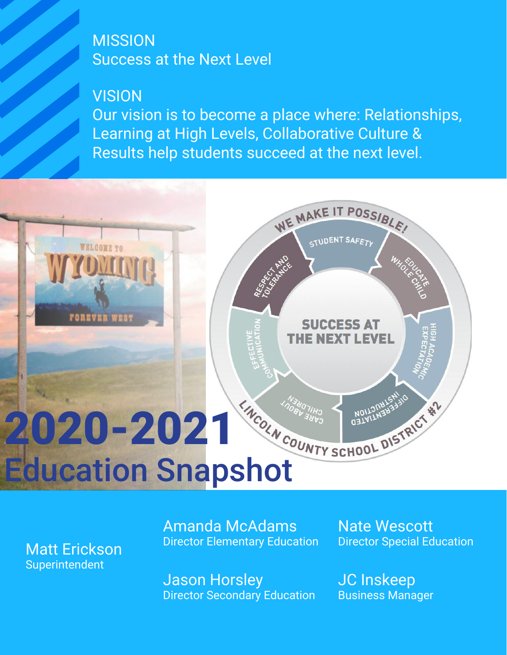# MISSION<br>Success<br>VISION Success at the Next Level

#### **VISION**

Our vision is to become a place where: Relationships, Learning at High Levels, Collaborative Culture & Results help students succeed at the next level.



Matt Erickson Superintendent

Amanda McAdams Director Elementary Education Nate Wescott Director Special Education

Jason Horsley Director Secondary Education JC Inskeep Business Manager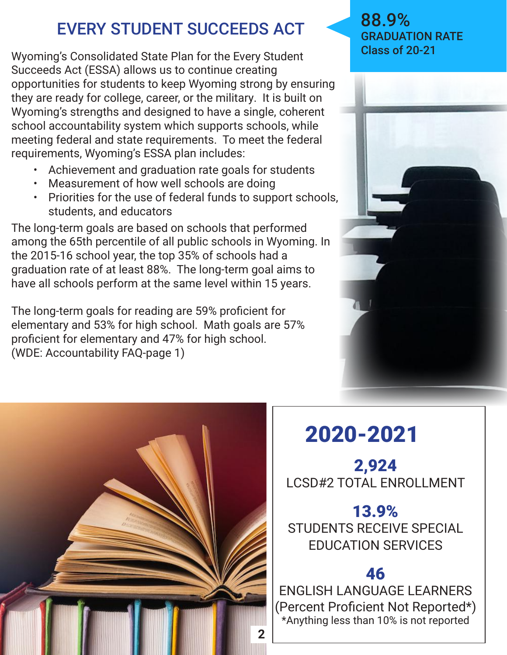## EVERY STUDENT SUCCEEDS ACT

Wyoming's Consolidated State Plan for the Every Student Succeeds Act (ESSA) allows us to continue creating opportunities for students to keep Wyoming strong by ensuring they are ready for college, career, or the military. It is built on Wyoming's strengths and designed to have a single, coherent school accountability system which supports schools, while meeting federal and state requirements. To meet the federal requirements, Wyoming's ESSA plan includes:

- Achievement and graduation rate goals for students
- Measurement of how well schools are doing
- Priorities for the use of federal funds to support schools, students, and educators

The long-term goals are based on schools that performed among the 65th percentile of all public schools in Wyoming. In the 2015-16 school year, the top 35% of schools had a graduation rate of at least 88%. The long-term goal aims to have all schools perform at the same level within 15 years.

The long-term goals for reading are 59% proficient for elementary and 53% for high school. Math goals are 57% proficient for elementary and 47% for high school. (WDE: Accountability FAQ-page 1)





# 2020-2021

2,924 LCSD#2 TOTAL ENROLLMENT

#### 13.9% STUDENTS RECEIVE SPECIAL EDUCATION SERVICES

#### 46

ENGLISH LANGUAGE LEARNERS (Percent Proficient Not Reported\*) \*Anything less than 10% is not reported

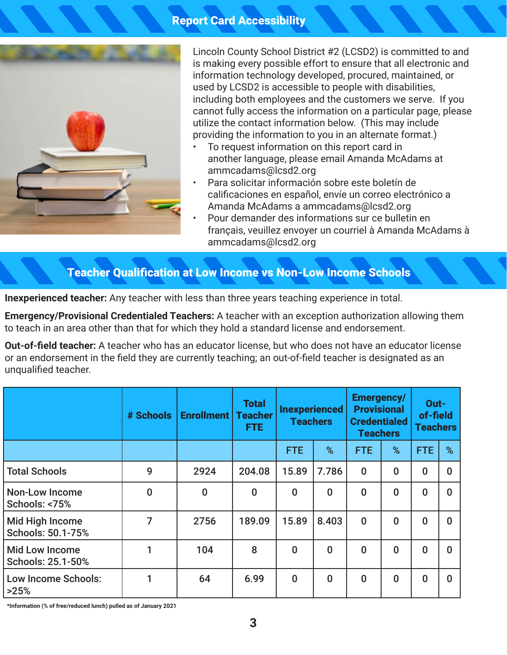

Lincoln County School District #2 (LCSD2) is committed to and is making every possible effort to ensure that all electronic and information technology developed, procured, maintained, or used by LCSD2 is accessible to people with disabilities, including both employees and the customers we serve. If you cannot fully access the information on a particular page, please utilize the contact information below. (This may include providing the information to you in an alternate format.)

- To request information on this report card in another language, please email Amanda McAdams at ammcadams@lcsd2.org
- Para solicitar información sobre este boletín de calificaciones en español, envíe un correo electrónico a Amanda McAdams a ammcadams@lcsd2.org
- Pour demander des informations sur ce bulletin en français, veuillez envoyer un courriel à Amanda McAdams à ammcadams@lcsd2.org

#### Teacher Qualification at Low Income vs Non-Low Income Schools

**Inexperienced teacher:** Any teacher with less than three years teaching experience in total.

**Emergency/Provisional Credentialed Teachers:** A teacher with an exception authorization allowing them to teach in an area other than that for which they hold a standard license and endorsement.

**Out-of-field teacher:** A teacher who has an educator license, but who does not have an educator license or an endorsement in the field they are currently teaching; an out-of-field teacher is designated as an unqualified teacher.

|                                            | # Schools | <b>Enrollment   Teacher</b> | <b>Total</b><br>FTE. | <b>Inexperienced</b><br><b>Teachers</b> |          | <b>Emergency/</b><br><b>Provisional</b><br><b>Credentialed</b><br><b>Teachers</b> |          | Out-<br>of-field<br><b>Teachers</b> |          |
|--------------------------------------------|-----------|-----------------------------|----------------------|-----------------------------------------|----------|-----------------------------------------------------------------------------------|----------|-------------------------------------|----------|
|                                            |           |                             |                      | <b>FTE</b>                              | %        | <b>FTE</b>                                                                        | %        | <b>FTE</b>                          | %        |
| <b>Total Schools</b>                       | 9         | 2924                        | 204.08               | 15.89                                   | 7.786    | $\bf{0}$                                                                          | $\bf{0}$ | $\bf{0}$                            | $\bf{0}$ |
| Non-Low Income<br>Schools: <75%            | $\bf{0}$  | $\bf{0}$                    | $\bf{0}$             | $\bf{0}$                                | $\bf{0}$ | $\bf{0}$                                                                          | $\bf{0}$ | $\bf{0}$                            | $\bf{0}$ |
| Mid High Income<br>Schools: 50.1-75%       | 7         | 2756                        | 189.09               | 15.89                                   | 8.403    | $\bf{0}$                                                                          | $\bf{0}$ | $\bf{0}$                            | $\bf{0}$ |
| <b>Mid Low Income</b><br>Schools: 25.1-50% |           | 104                         | 8                    | $\bf{0}$                                | $\bf{0}$ | $\bf{0}$                                                                          | $\bf{0}$ | $\bf{0}$                            | $\bf{0}$ |
| <b>Low Income Schools:</b><br>>25%         |           | 64                          | 6.99                 | $\bf{0}$                                | $\bf{0}$ | $\bf{0}$                                                                          | $\bf{0}$ | $\bf{0}$                            | $\bf{0}$ |

**\*Information (% of free/reduced lunch) pulled as of January 2021**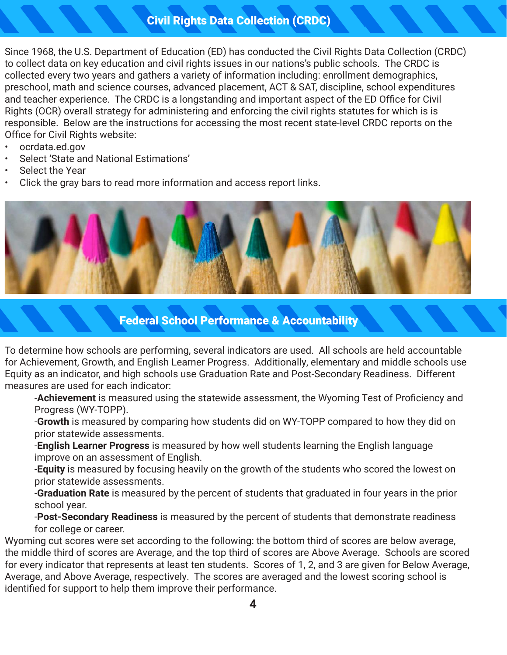#### Civil Rights Data Collection (CRDC)

Since 1968, the U.S. Department of Education (ED) has conducted the Civil Rights Data Collection (CRDC) to collect data on key education and civil rights issues in our nations's public schools. The CRDC is collected every two years and gathers a variety of information including: enrollment demographics, preschool, math and science courses, advanced placement, ACT & SAT, discipline, school expenditures and teacher experience. The CRDC is a longstanding and important aspect of the ED Office for Civil Rights (OCR) overall strategy for administering and enforcing the civil rights statutes for which is is responsible. Below are the instructions for accessing the most recent state-level CRDC reports on the Office for Civil Rights website:

- ocrdata.ed.gov
- Select 'State and National Estimations'
- Select the Year
- Click the gray bars to read more information and access report links.



#### Federal School Performance & Accountability

To determine how schools are performing, several indicators are used. All schools are held accountable for Achievement, Growth, and English Learner Progress. Additionally, elementary and middle schools use Equity as an indicator, and high schools use Graduation Rate and Post-Secondary Readiness. Different measures are used for each indicator:

-**Achievement** is measured using the statewide assessment, the Wyoming Test of Proficiency and Progress (WY-TOPP).

-**Growth** is measured by comparing how students did on WY-TOPP compared to how they did on prior statewide assessments.

-**English Learner Progress** is measured by how well students learning the English language improve on an assessment of English.

-**Equity** is measured by focusing heavily on the growth of the students who scored the lowest on prior statewide assessments.

-**Graduation Rate** is measured by the percent of students that graduated in four years in the prior school year.

-**Post-Secondary Readiness** is measured by the percent of students that demonstrate readiness for college or career.

Wyoming cut scores were set according to the following: the bottom third of scores are below average, the middle third of scores are Average, and the top third of scores are Above Average. Schools are scored for every indicator that represents at least ten students. Scores of 1, 2, and 3 are given for Below Average, Average, and Above Average, respectively. The scores are averaged and the lowest scoring school is identified for support to help them improve their performance.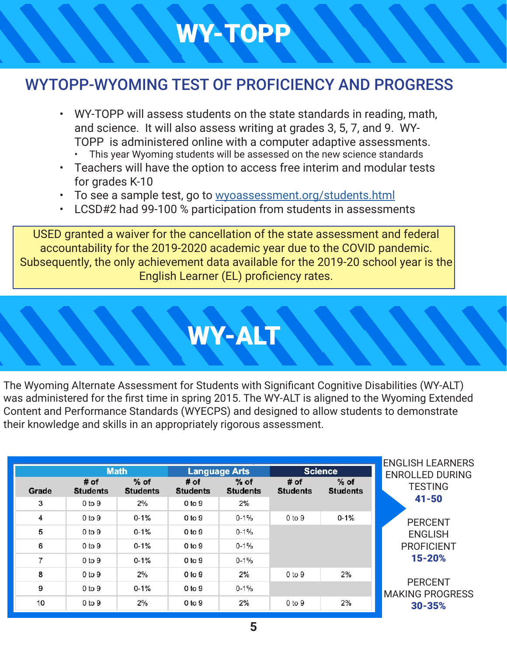# WY-TOPP

#### WYTOPP-WYOMING TEST OF PROFICIENCY AND PROGRESS

- WY-TOPP will assess students on the state standards in reading, math, and science. It will also assess writing at grades 3, 5, 7, and 9. WY-TOPP is administered online with a computer adaptive assessments.
	- This year Wyoming students will be assessed on the new science standards
- Teachers will have the option to access free interim and modular tests for grades K-10
- To see a sample test, go to wyoassessment.org/students.html
- LCSD#2 had 99-100 % participation from students in assessments

USED granted a waiver for the cancellation of the state assessment and federal accountability for the 2019-2020 academic year due to the COVID pandemic. Subsequently, the only achievement data available for the 2019-20 school year is the English Learner (EL) proficiency rates.

WY-ALT

The Wyoming Alternate Assessment for Students with Significant Cognitive Disabilities (WY-ALT) was administered for the first time in spring 2015. The WY-ALT is aligned to the Wyoming Extended Content and Performance Standards (WYECPS) and designed to allow students to demonstrate their knowledge and skills in an appropriately rigorous assessment.

|                          |                           | <b>Math</b>               |                         | <b>Language Arts</b>      | <b>Science</b>          |                           | <b>ENGLISH LEARNERS</b><br><b>ENROLLED DURING</b> |
|--------------------------|---------------------------|---------------------------|-------------------------|---------------------------|-------------------------|---------------------------|---------------------------------------------------|
| Grade                    | $#$ of<br><b>Students</b> | $%$ of<br><b>Students</b> | # of<br><b>Students</b> | $%$ of<br><b>Students</b> | # of<br><b>Students</b> | $%$ of<br><b>Students</b> | <b>TESTING</b>                                    |
| 3                        | $0$ to $9$                | 2%                        | $0$ to $9$              | 2%                        |                         |                           | $41 - 50$                                         |
| $\overline{4}$           | 0 to 9                    | $0 - 1%$                  | 0 to 9                  | $0 - 1\%$                 | $0$ to $9$              | $0 - 1%$                  | <b>PERCENT</b>                                    |
| 5                        | 0 to 9                    | $0 - 1%$                  | $0$ to $9$              | $0 - 1%$                  |                         |                           | <b>ENGLISH</b>                                    |
| 6                        | 0 <sub>to</sub> 9         | $0 - 1%$                  | $0$ to $9$              | $0 - 1%$                  |                         |                           | <b>PROFICIENT</b>                                 |
| $\overline{\phantom{a}}$ | 0 to 9                    | $0 - 1%$                  | 0 <sub>to</sub> 9       | $0 - 1\%$                 |                         |                           | 15-20%                                            |
| 8                        | 0 to 9                    | 2%                        | $0$ to $9$              | 2%                        | $0$ to $9$              | 2%                        |                                                   |
| 9                        | 0 <sub>to</sub> 9         | $0 - 1%$                  | $0$ to $9$              | $0 - 1\%$                 |                         |                           | <b>PERCENT</b><br><b>MAKING PROGRESS</b>          |
| 10                       | $0$ to $9$                | 2%                        | 0 to 9                  | 2%                        | $0$ to $9$              | 2%                        | $30 - 35%$                                        |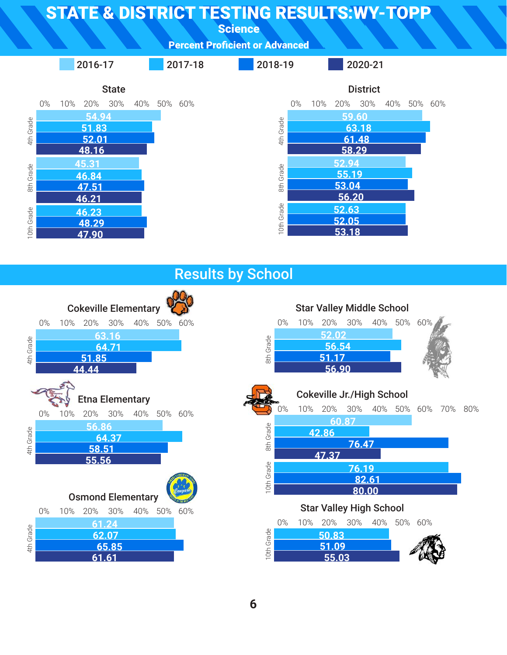**Science** 









**6**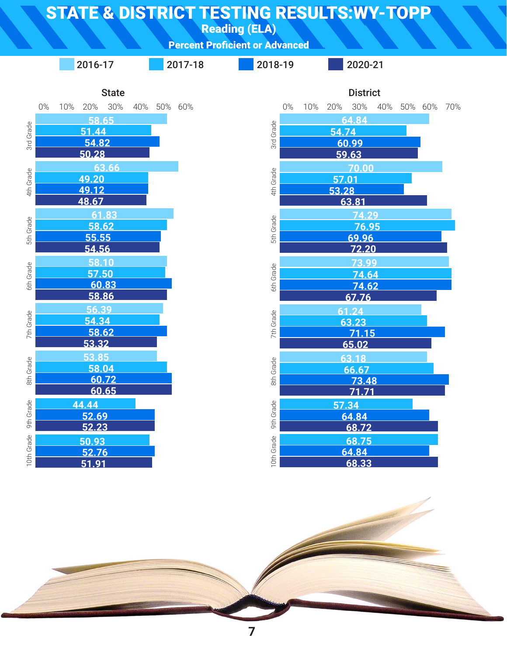Reading (ELA)

Percent Proficient or Advanced



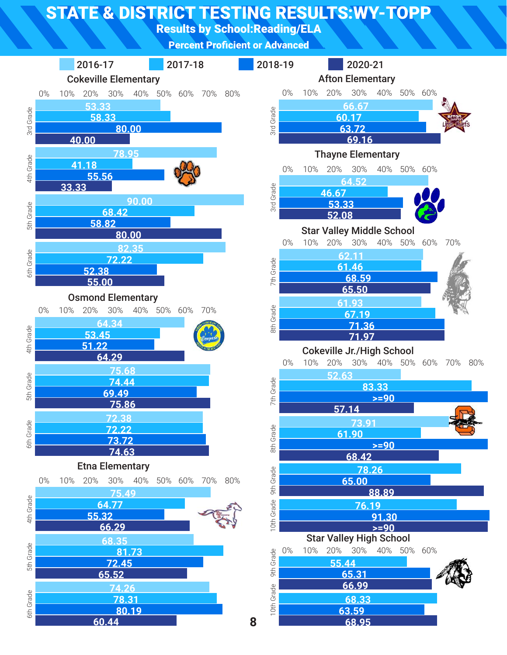Results by School:Reading/ELA

Percent Proficient or Advanced

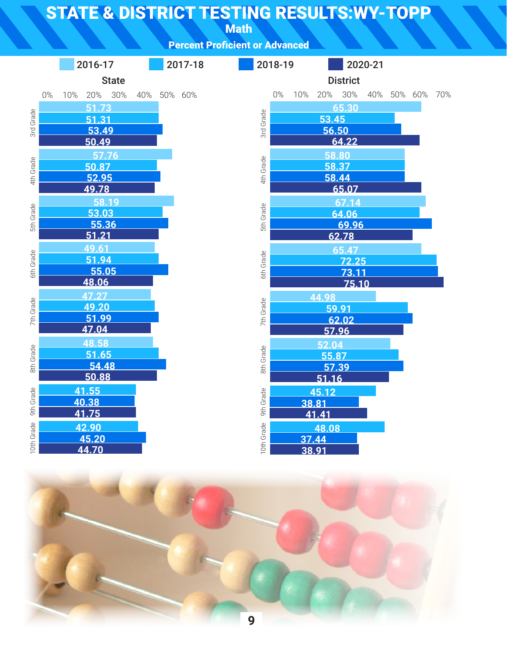Math

| <b>Percent Proficient or Advanced</b> |  |
|---------------------------------------|--|
|                                       |  |
|                                       |  |

|            |       |     | 2016-17        |              |  | 2017-18     |            | 2018-19   |     |                |                 | 2020-21 |                 |  |
|------------|-------|-----|----------------|--------------|--|-------------|------------|-----------|-----|----------------|-----------------|---------|-----------------|--|
|            |       |     |                | <b>State</b> |  |             |            |           |     |                | <b>District</b> |         |                 |  |
|            | $0\%$ | 10% | 20% 30%        |              |  | 40% 50% 60% |            | 0%        | 10% |                | 20% 30%         |         | 40% 50% 60% 70% |  |
|            |       |     | 51.73          |              |  |             |            |           |     |                | 65.30           |         |                 |  |
| 3rd Grade  |       |     | 51.31          |              |  |             | 3rd Grade  |           |     | 53.45          |                 |         |                 |  |
|            |       |     | 53.49<br>50.49 |              |  |             |            |           |     | 56.50          | 64.22           |         |                 |  |
|            |       |     | 57.76          |              |  |             |            |           |     |                | 58.80           |         |                 |  |
| 4th Grade  |       |     | 50.87          |              |  |             | 4th Grade  |           |     |                | 58.37           |         |                 |  |
|            |       |     | 52.95          |              |  |             |            |           |     |                | 58.44           |         |                 |  |
|            |       |     | 49.78          |              |  |             |            |           |     |                | 65.07           |         |                 |  |
|            |       |     | 58.19<br>53.03 |              |  |             |            |           |     |                | 67.14<br>64.06  |         |                 |  |
| 5th Grade  |       |     | 55.36          |              |  |             | 5th Grade  |           |     |                | 69.96           |         |                 |  |
|            |       |     | 51.21          |              |  |             |            |           |     |                | 62.78           |         |                 |  |
|            |       |     | 49.61          |              |  |             |            |           |     |                | 65.47           |         |                 |  |
| 6th Grade  |       |     | 51.94<br>55.05 |              |  |             | 6th Grade  |           |     |                | 72.25           |         |                 |  |
|            |       |     | 48.06          |              |  |             |            |           |     |                | 73.11<br>75.10  |         |                 |  |
|            |       |     | 47.27          |              |  |             |            |           |     | 44.98          |                 |         |                 |  |
| 7th Grade  |       |     | 49.20          |              |  |             |            | 7th Grade |     |                | 59.91           |         |                 |  |
|            |       |     | 51.99          |              |  |             |            |           |     |                | 62.02           |         |                 |  |
|            |       |     | 47.04          |              |  |             |            |           |     | 57.96          |                 |         |                 |  |
|            |       |     | 48.58<br>51.65 |              |  |             |            |           |     | 52.04<br>55.87 |                 |         |                 |  |
| 8th Grade  |       |     | 54.48          |              |  |             |            | 8th Grade |     | 57.39          |                 |         |                 |  |
|            |       |     | 50.88          |              |  |             |            |           |     | 51.16          |                 |         |                 |  |
|            |       |     | 41.55          |              |  |             |            |           |     | 45.12          |                 |         |                 |  |
| 9th Grade  |       |     | 40.38          |              |  |             | 9th Grade  |           |     | 38.81          |                 |         |                 |  |
|            |       |     | 41.75<br>42.90 |              |  |             |            |           |     | 41.41          |                 |         |                 |  |
| 10th Grade |       |     | 45.20          |              |  |             | 10th Grade |           |     | 48.08<br>37.44 |                 |         |                 |  |
|            |       |     | 44.70          |              |  |             |            |           |     | 38.91          |                 |         |                 |  |
|            |       |     |                |              |  |             |            |           |     |                |                 |         |                 |  |

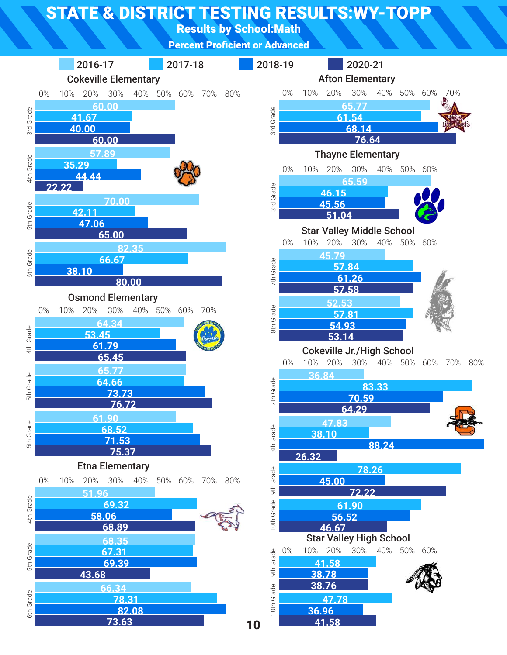Results by School:Math

Percent Proficient or Advanced

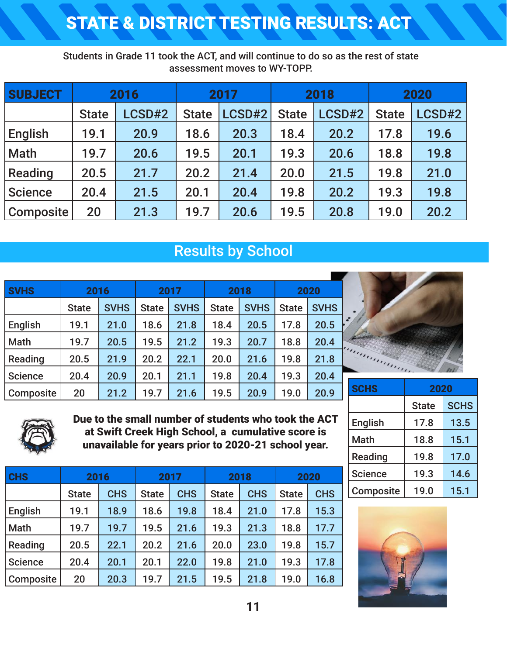## STATE & DISTRICT TESTING RESULTS: ACT

Students in Grade 11 took the ACT, and will continue to do so as the rest of state assessment moves to WY-TOPP.

| <b>SUBJECT</b>   | 2016         |        | 2017         |        |              | 2018   | 2020         |        |  |
|------------------|--------------|--------|--------------|--------|--------------|--------|--------------|--------|--|
|                  | <b>State</b> | LCSD#2 | <b>State</b> | LCSD#2 | <b>State</b> | LCSD#2 | <b>State</b> | LCSD#2 |  |
| English          | 19.1         | 20.9   | 18.6         | 20.3   | 18.4         | 20.2   | 17.8         | 19.6   |  |
| Math             | 19.7         | 20.6   | 19.5         | 20.1   | 19.3         | 20.6   | 18.8         | 19.8   |  |
| Reading          | 20.5         | 21.7   | 20.2         | 21.4   | 20.0         | 21.5   | 19.8         | 21.0   |  |
| Science          | 20.4         | 21.5   | 20.1         | 20.4   | 19.8         | 20.2   | 19.3         | 19.8   |  |
| <b>Composite</b> | 20           | 21.3   | 19.7         | 20.6   | 19.5         | 20.8   | 19.0         | 20.2   |  |

#### Results by School

| <b>SVHS</b>    | 2016         |             | 2017         |             | 2018         |             | 2020         |             |
|----------------|--------------|-------------|--------------|-------------|--------------|-------------|--------------|-------------|
|                | <b>State</b> | <b>SVHS</b> | <b>State</b> | <b>SVHS</b> | <b>State</b> | <b>SVHS</b> | <b>State</b> | <b>SVHS</b> |
| English        | 19.1         | 21.0        | 18.6         | 21.8        | 18.4         | 20.5        | 17.8         | 20.5        |
| <b>Math</b>    | 19.7         | 20.5        | 19.5         | 21.2        | 19.3         | 20.7        | 18.8         | 20.4        |
| Reading        | 20.5         | 21.9        | 20.2         | 22.1        | 20.0         | 21.6        | 19.8         | 21.8        |
| <b>Science</b> | 20.4         | 20.9        | 20.1         | 21.1        | 19.8         | 20.4        | 19.3         | 20.4        |
| Composite      | 20           | 21.2        | 19.7         | 21.6        | 19.5         | 20.9        | 19.0         | 20.9        |



| <b>SCHS</b>      | 2020         |             |  |  |  |
|------------------|--------------|-------------|--|--|--|
|                  | <b>State</b> | <b>SCHS</b> |  |  |  |
| <b>English</b>   | 17.8         | 13.5        |  |  |  |
| <b>Math</b>      | 18.8         | 15.1        |  |  |  |
| Reading          | 19.8         | 17.0        |  |  |  |
| <b>Science</b>   | 19.3         | 14.6        |  |  |  |
| <b>Composite</b> | 19.0         | 15.1        |  |  |  |





Due to the small number of students who took the ACT at Swift Creek High School, a cumulative score is unavailable for years prior to 2020-21 school year.

| <b>CHS</b>     | 2016         |            |              | 2017       |              | 2018       |              | 2020       |  |
|----------------|--------------|------------|--------------|------------|--------------|------------|--------------|------------|--|
|                | <b>State</b> | <b>CHS</b> | <b>State</b> | <b>CHS</b> | <b>State</b> | <b>CHS</b> | <b>State</b> | <b>CHS</b> |  |
| English        | 19.1         | 18.9       | 18.6         | 19.8       | 18.4         | 21.0       | 17.8         | 15.3       |  |
| Math           | 19.7         | 19.7       | 19.5         | 21.6       | 19.3         | 21.3       | 18.8         | 17.7       |  |
| Reading        | 20.5         | 22.1       | 20.2         | 21.6       | 20.0         | 23.0       | 19.8         | 15.7       |  |
| <b>Science</b> | 20.4         | 20.1       | 20.1         | 22.0       | 19.8         | 21.0       | 19.3         | 17.8       |  |
| Composite      | 20           | 20.3       | 19.7         | 21.5       | 19.5         | 21.8       | 19.0         | 16.8       |  |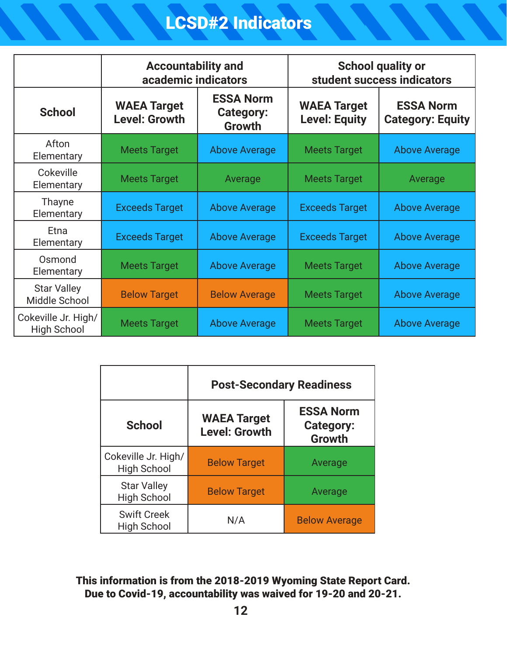## LCSD#2 Indicators

|                                           | <b>Accountability and</b><br>academic indicators |                                                | <b>School quality or</b><br>student success indicators |                                             |  |  |
|-------------------------------------------|--------------------------------------------------|------------------------------------------------|--------------------------------------------------------|---------------------------------------------|--|--|
| <b>School</b>                             | <b>WAEA Target</b><br><b>Level: Growth</b>       | <b>ESSA Norm</b><br><b>Category:</b><br>Growth |                                                        | <b>ESSA Norm</b><br><b>Category: Equity</b> |  |  |
| Afton<br>Elementary                       | <b>Meets Target</b>                              | <b>Above Average</b>                           | <b>Meets Target</b>                                    | <b>Above Average</b>                        |  |  |
| Cokeville<br>Elementary                   | <b>Meets Target</b>                              | Average                                        | <b>Meets Target</b>                                    | Average                                     |  |  |
| Thayne<br>Elementary                      | <b>Exceeds Target</b>                            | <b>Above Average</b>                           | <b>Exceeds Target</b>                                  | <b>Above Average</b>                        |  |  |
| Etna<br>Elementary                        | <b>Exceeds Target</b>                            | <b>Above Average</b>                           | <b>Exceeds Target</b>                                  | <b>Above Average</b>                        |  |  |
| Osmond<br>Elementary                      | <b>Meets Target</b>                              | <b>Above Average</b>                           | <b>Meets Target</b>                                    | <b>Above Average</b>                        |  |  |
| <b>Star Valley</b><br>Middle School       | <b>Below Target</b><br><b>Below Average</b>      |                                                | <b>Meets Target</b>                                    | <b>Above Average</b>                        |  |  |
| Cokeville Jr. High/<br><b>High School</b> | <b>Above Average</b><br><b>Meets Target</b>      |                                                | <b>Meets Target</b>                                    | <b>Above Average</b>                        |  |  |

|                                           | <b>Post-Secondary Readiness</b>            |                                                       |  |  |  |  |
|-------------------------------------------|--------------------------------------------|-------------------------------------------------------|--|--|--|--|
| <b>School</b>                             | <b>WAEA Target</b><br><b>Level: Growth</b> | <b>ESSA Norm</b><br><b>Category:</b><br><b>Growth</b> |  |  |  |  |
| Cokeville Jr. High/<br><b>High School</b> | <b>Below Target</b>                        | Average                                               |  |  |  |  |
| <b>Star Valley</b><br><b>High School</b>  | <b>Below Target</b>                        | Average                                               |  |  |  |  |
| <b>Swift Creek</b><br><b>High School</b>  | N/A                                        | <b>Below Average</b>                                  |  |  |  |  |

#### This information is from the 2018-2019 Wyoming State Report Card. Due to Covid-19, accountability was waived for 19-20 and 20-21.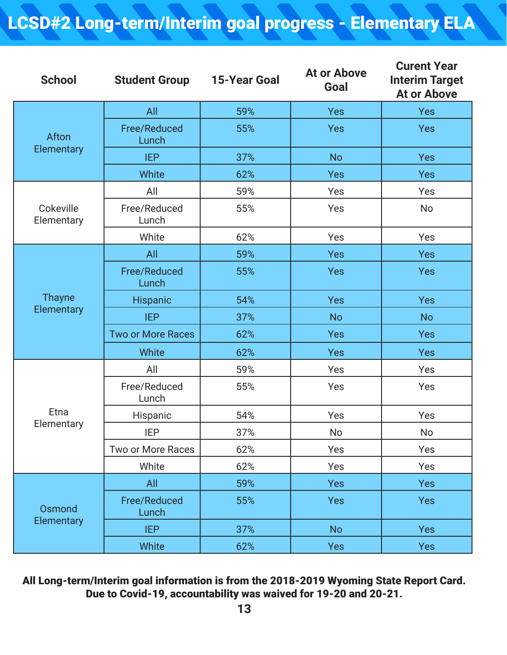## LCSD#2 Long-term/Interim goal progress - Elementary ELA

| <b>School</b>           | <b>Student Group</b>     | <b>15-Year Goal</b> | <b>At or Above</b><br>Goal | <b>Curent Year</b><br><b>Interim Target</b><br><b>At or Above</b> |
|-------------------------|--------------------------|---------------------|----------------------------|-------------------------------------------------------------------|
|                         | All                      | 59%                 | <b>Yes</b>                 | <b>Yes</b>                                                        |
| Afton                   | Free/Reduced<br>Lunch    | 55%                 | <b>Yes</b>                 | <b>Yes</b>                                                        |
| Elementary              | <b>IEP</b>               | 37%                 | <b>No</b>                  | <b>Yes</b>                                                        |
|                         | White                    | 62%                 | Yes                        | <b>Yes</b>                                                        |
|                         | All                      | 59%                 | Yes                        | Yes                                                               |
| Cokeville<br>Elementary | Free/Reduced<br>Lunch    | 55%                 | Yes                        | <b>No</b>                                                         |
|                         | White                    | 62%                 | Yes                        | Yes                                                               |
|                         | All                      | 59%                 | <b>Yes</b>                 | <b>Yes</b>                                                        |
|                         | Free/Reduced<br>Lunch    | 55%                 | <b>Yes</b>                 | <b>Yes</b>                                                        |
| <b>Thayne</b>           | Hispanic                 | 54%                 | <b>Yes</b>                 | <b>Yes</b>                                                        |
| Elementary              | <b>IEP</b>               | 37%                 | <b>No</b>                  | <b>No</b>                                                         |
|                         | <b>Two or More Races</b> | 62%                 | <b>Yes</b>                 | <b>Yes</b>                                                        |
|                         | White                    | 62%                 | <b>Yes</b>                 | <b>Yes</b>                                                        |
|                         | All                      | 59%                 | Yes                        | Yes                                                               |
|                         | Free/Reduced<br>Lunch    | 55%                 | Yes                        | Yes                                                               |
| Etna                    | Hispanic                 | 54%                 | Yes                        | Yes                                                               |
| Elementary              | IEP                      | 37%                 | No                         | No                                                                |
|                         | Two or More Races        | 62%                 | Yes                        | Yes                                                               |
|                         | White                    | 62%                 | Yes                        | Yes                                                               |
|                         | All                      | 59%                 | Yes                        | <b>Yes</b>                                                        |
| Osmond                  | Free/Reduced<br>Lunch    | 55%                 | <b>Yes</b>                 | <b>Yes</b>                                                        |
| Elementary              | <b>IEP</b>               | 37%                 | <b>No</b>                  | Yes                                                               |
|                         | White                    | 62%                 | <b>Yes</b>                 | <b>Yes</b>                                                        |

All Long-term/Interim goal information is from the 2018-2019 Wyoming State Report Card. Due to Covid-19, accountability was waived for 19-20 and 20-21.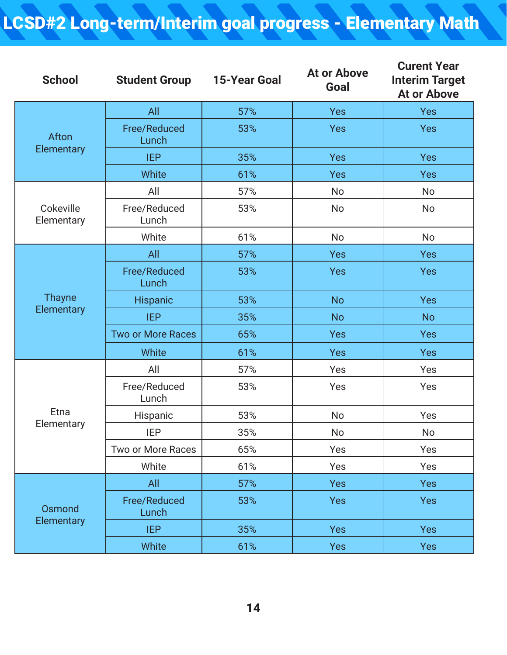## LCSD#2 Long-term/Interim goal progress - Elementary Math

| <b>School</b>           | <b>Student Group</b>         | <b>15-Year Goal</b> | <b>At or Above</b><br>Goal | <b>Curent Year</b><br><b>Interim Target</b><br><b>At or Above</b> |
|-------------------------|------------------------------|---------------------|----------------------------|-------------------------------------------------------------------|
|                         | All                          | 57%                 | <b>Yes</b>                 | <b>Yes</b>                                                        |
| Afton                   | <b>Free/Reduced</b><br>Lunch | 53%                 | <b>Yes</b>                 | Yes                                                               |
| Elementary              | <b>IEP</b>                   | 35%                 | <b>Yes</b>                 | Yes                                                               |
|                         | White                        | 61%                 | <b>Yes</b>                 | <b>Yes</b>                                                        |
|                         | All                          | 57%                 | <b>No</b>                  | No                                                                |
| Cokeville<br>Elementary | Free/Reduced<br>Lunch        | 53%                 | <b>No</b>                  | <b>No</b>                                                         |
|                         | White                        | 61%                 | <b>No</b>                  | <b>No</b>                                                         |
|                         | All                          | 57%                 | <b>Yes</b>                 | <b>Yes</b>                                                        |
|                         | Free/Reduced<br>Lunch        | 53%                 | <b>Yes</b>                 | <b>Yes</b>                                                        |
| <b>Thayne</b>           | <b>Hispanic</b>              | 53%                 | <b>No</b>                  | <b>Yes</b>                                                        |
| Elementary              | <b>IEP</b>                   | 35%                 | <b>No</b>                  | <b>No</b>                                                         |
|                         | <b>Two or More Races</b>     | 65%                 | <b>Yes</b>                 | <b>Yes</b>                                                        |
|                         | White                        | 61%                 | <b>Yes</b>                 | <b>Yes</b>                                                        |
|                         | All                          | 57%                 | Yes                        | Yes                                                               |
|                         | Free/Reduced<br>Lunch        | 53%                 | Yes                        | Yes                                                               |
| Etna                    | Hispanic                     | 53%                 | <b>No</b>                  | Yes                                                               |
| Elementary              | <b>IEP</b>                   | 35%                 | No                         | No                                                                |
|                         | Two or More Races            | 65%                 | Yes                        | Yes                                                               |
|                         | White                        | 61%                 | Yes                        | Yes                                                               |
|                         | All                          | 57%                 | <b>Yes</b>                 | <b>Yes</b>                                                        |
| Osmond                  | <b>Free/Reduced</b><br>Lunch | 53%                 | <b>Yes</b>                 | <b>Yes</b>                                                        |
| Elementary              | <b>IEP</b>                   | 35%                 | <b>Yes</b>                 | <b>Yes</b>                                                        |
|                         | White                        | 61%                 | <b>Yes</b>                 | <b>Yes</b>                                                        |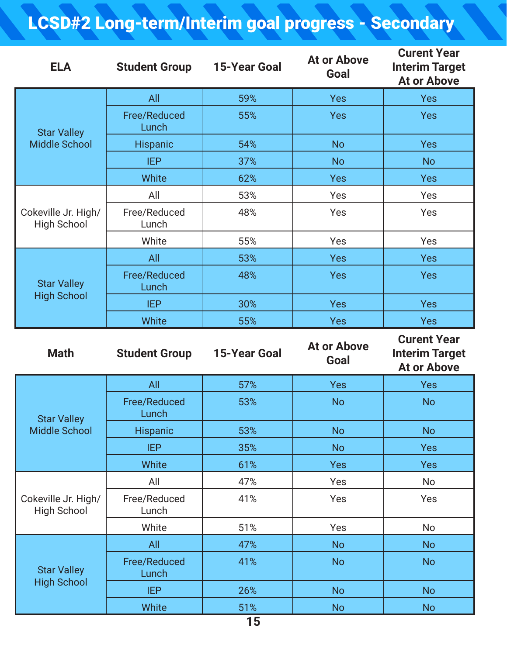# LCSD#2 Long-term/Interim goal progress - Secondary

| <b>ELA</b>                                 | <b>Student Group</b>         | <b>15-Year Goal</b> | <b>At or Above</b><br>Goal | <b>Curent Year</b><br><b>Interim Target</b><br><b>At or Above</b> |
|--------------------------------------------|------------------------------|---------------------|----------------------------|-------------------------------------------------------------------|
| <b>Star Valley</b><br><b>Middle School</b> | All                          | 59%                 | <b>Yes</b>                 | <b>Yes</b>                                                        |
|                                            | Free/Reduced<br>Lunch        | 55%                 | <b>Yes</b>                 | <b>Yes</b>                                                        |
|                                            | Hispanic                     | 54%                 | <b>No</b>                  | <b>Yes</b>                                                        |
|                                            | <b>IEP</b>                   | 37%                 | <b>No</b>                  | <b>No</b>                                                         |
|                                            | White                        | 62%                 | <b>Yes</b>                 | Yes                                                               |
| Cokeville Jr. High/<br><b>High School</b>  | All                          | 53%                 | Yes                        | Yes                                                               |
|                                            | Free/Reduced<br>Lunch        | 48%                 | Yes                        | Yes                                                               |
|                                            | White                        | 55%                 | Yes                        | Yes                                                               |
| <b>Star Valley</b><br><b>High School</b>   | All                          | 53%                 | <b>Yes</b>                 | <b>Yes</b>                                                        |
|                                            | Free/Reduced<br>Lunch        | 48%                 | <b>Yes</b>                 | <b>Yes</b>                                                        |
|                                            | <b>IEP</b>                   | 30%                 | <b>Yes</b>                 | <b>Yes</b>                                                        |
|                                            | White                        | 55%                 | <b>Yes</b>                 | <b>Yes</b>                                                        |
|                                            |                              |                     |                            |                                                                   |
| <b>Math</b>                                | <b>Student Group</b>         | <b>15-Year Goal</b> | <b>At or Above</b><br>Goal | <b>Curent Year</b><br><b>Interim Target</b><br><b>At or Above</b> |
|                                            | All                          | 57%                 | <b>Yes</b>                 | <b>Yes</b>                                                        |
|                                            | <b>Free/Reduced</b><br>Lunch | 53%                 | <b>No</b>                  | <b>No</b>                                                         |
| <b>Star Valley</b><br><b>Middle School</b> | <b>Hispanic</b>              | 53%                 | <b>No</b>                  | <b>No</b>                                                         |
|                                            | <b>IEP</b>                   | 35%                 | <b>No</b>                  | <b>Yes</b>                                                        |
|                                            | White                        | 61%                 | <b>Yes</b>                 | <b>Yes</b>                                                        |
|                                            | All                          | 47%                 | Yes                        | <b>No</b>                                                         |
| Cokeville Jr. High/<br><b>High School</b>  | Free/Reduced<br>Lunch        | 41%                 | Yes                        | Yes                                                               |
|                                            | White                        | 51%                 | Yes                        | <b>No</b>                                                         |
|                                            | All                          | 47%                 | <b>No</b>                  | <b>No</b>                                                         |
| <b>Star Valley</b>                         | <b>Free/Reduced</b><br>Lunch | 41%                 | <b>No</b>                  | <b>No</b>                                                         |
| <b>High School</b>                         | <b>IEP</b>                   | 26%                 | <b>No</b>                  | <b>No</b>                                                         |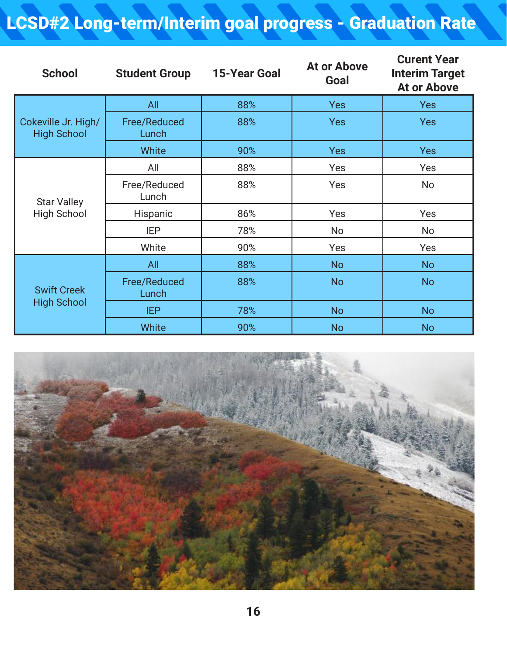## LCSD#2 Long-term/Interim goal progress - Graduation Rate

| <b>School</b>                             | <b>Student Group</b>         | <b>15-Year Goal</b> | <b>At or Above</b><br>Goal | <b>Curent Year</b><br><b>Interim Target</b><br><b>At or Above</b> |
|-------------------------------------------|------------------------------|---------------------|----------------------------|-------------------------------------------------------------------|
| Cokeville Jr. High/<br><b>High School</b> | All                          | 88%                 | <b>Yes</b>                 | <b>Yes</b>                                                        |
|                                           | Free/Reduced<br>Lunch        | 88%                 | <b>Yes</b>                 | <b>Yes</b>                                                        |
|                                           | <b>White</b>                 | 90%                 | <b>Yes</b>                 | <b>Yes</b>                                                        |
| <b>Star Valley</b><br><b>High School</b>  | All                          | 88%                 | Yes                        | Yes                                                               |
|                                           | Free/Reduced<br>Lunch        | 88%                 | Yes                        | <b>No</b>                                                         |
|                                           | Hispanic                     | 86%                 | Yes                        | Yes                                                               |
|                                           | <b>IEP</b>                   | 78%                 | No                         | <b>No</b>                                                         |
|                                           | White                        | 90%                 | Yes                        | Yes                                                               |
| <b>Swift Creek</b><br><b>High School</b>  | All                          | 88%                 | <b>No</b>                  | <b>No</b>                                                         |
|                                           | <b>Free/Reduced</b><br>Lunch | 88%                 | <b>No</b>                  | <b>No</b>                                                         |
|                                           | <b>IEP</b>                   | 78%                 | <b>No</b>                  | <b>No</b>                                                         |
|                                           | <b>White</b>                 | 90%                 | <b>No</b>                  | <b>No</b>                                                         |

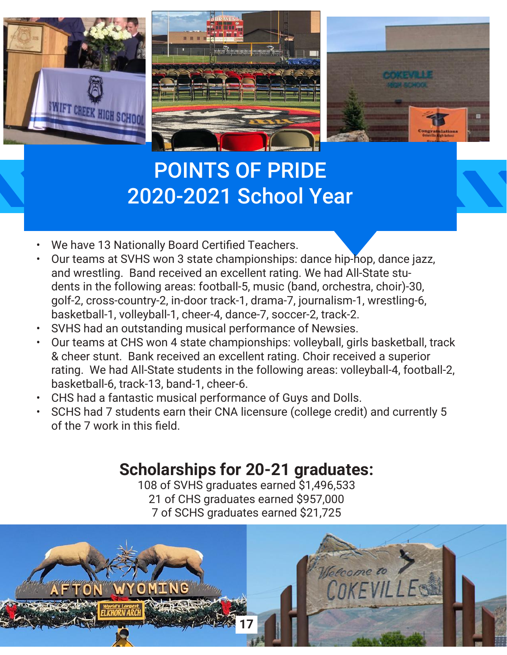



# POINTS OF PRIDE 2020-2021 School Year

- We have 13 Nationally Board Certified Teachers.
- Our teams at SVHS won 3 state championships: dance hip-hop, dance jazz, and wrestling. Band received an excellent rating. We had All-State students in the following areas: football-5, music (band, orchestra, choir)-30, golf-2, cross-country-2, in-door track-1, drama-7, journalism-1, wrestling-6, basketball-1, volleyball-1, cheer-4, dance-7, soccer-2, track-2.
- SVHS had an outstanding musical performance of Newsies.
- Our teams at CHS won 4 state championships: volleyball, girls basketball, track & cheer stunt. Bank received an excellent rating. Choir received a superior rating. We had All-State students in the following areas: volleyball-4, football-2, basketball-6, track-13, band-1, cheer-6.
- CHS had a fantastic musical performance of Guys and Dolls.
- SCHS had 7 students earn their CNA licensure (college credit) and currently 5 of the 7 work in this field.

## **Scholarships for 20-21 graduates:**

108 of SVHS graduates earned \$1,496,533 21 of CHS graduates earned \$957,000 7 of SCHS graduates earned \$21,725